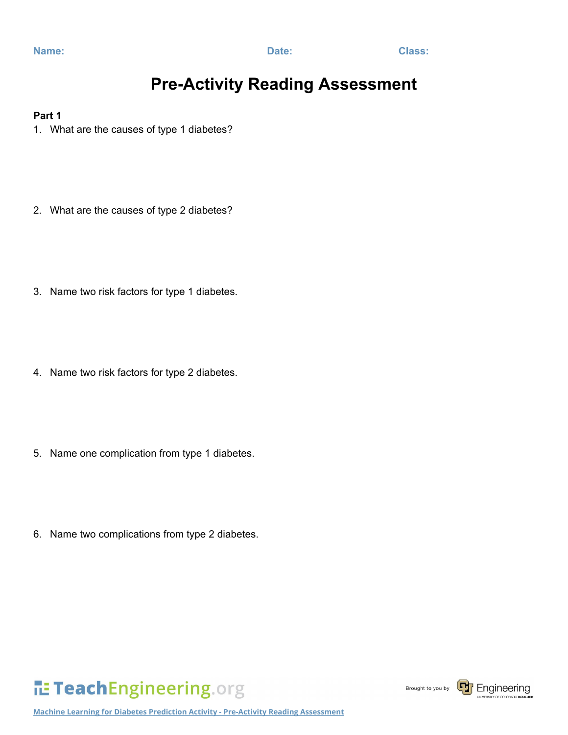### **Pre-Activity Reading Assessment**

#### **Part 1**

- 1. What are the causes of type 1 diabetes?
- 2. What are the causes of type 2 diabetes?
- 3. Name two risk factors for type 1 diabetes.
- 4. Name two risk factors for type 2 diabetes.
- 5. Name one complication from type 1 diabetes.
- 6. Name two complications from type 2 diabetes.

# TeachEngineering.org

Brought to you by

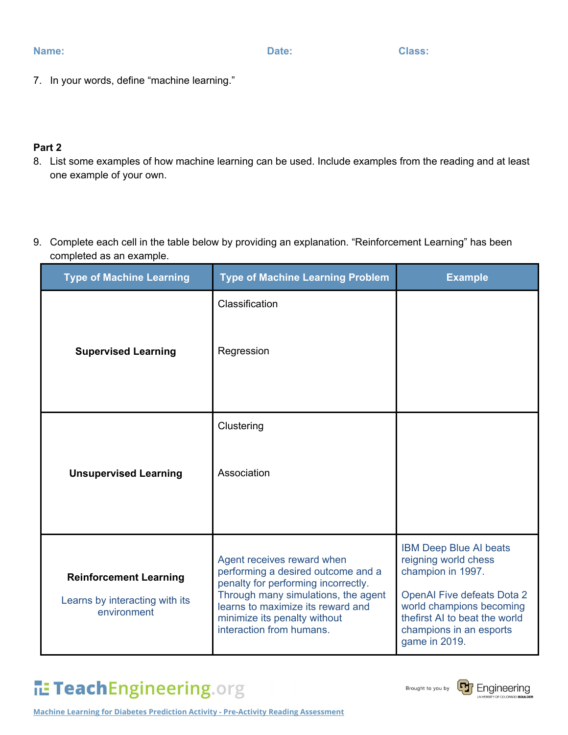7. In your words, define "machine learning."

#### **Part 2**

- 8. List some examples of how machine learning can be used. Include examples from the reading and at least one example of your own.
- 9. Complete each cell in the table below by providing an explanation. "Reinforcement Learning" has been completed as an example.

| <b>Type of Machine Learning</b>                                                | <b>Type of Machine Learning Problem</b>                                                                                                                                                                                                         | <b>Example</b>                                                                                                                                                                                                           |
|--------------------------------------------------------------------------------|-------------------------------------------------------------------------------------------------------------------------------------------------------------------------------------------------------------------------------------------------|--------------------------------------------------------------------------------------------------------------------------------------------------------------------------------------------------------------------------|
| <b>Supervised Learning</b>                                                     | Classification<br>Regression                                                                                                                                                                                                                    |                                                                                                                                                                                                                          |
| <b>Unsupervised Learning</b>                                                   | Clustering<br>Association                                                                                                                                                                                                                       |                                                                                                                                                                                                                          |
| <b>Reinforcement Learning</b><br>Learns by interacting with its<br>environment | Agent receives reward when<br>performing a desired outcome and a<br>penalty for performing incorrectly.<br>Through many simulations, the agent<br>learns to maximize its reward and<br>minimize its penalty without<br>interaction from humans. | <b>IBM Deep Blue AI beats</b><br>reigning world chess<br>champion in 1997.<br><b>OpenAl Five defeats Dota 2</b><br>world champions becoming<br>thefirst AI to beat the world<br>champions in an esports<br>game in 2019. |

# TeachEngineering.org